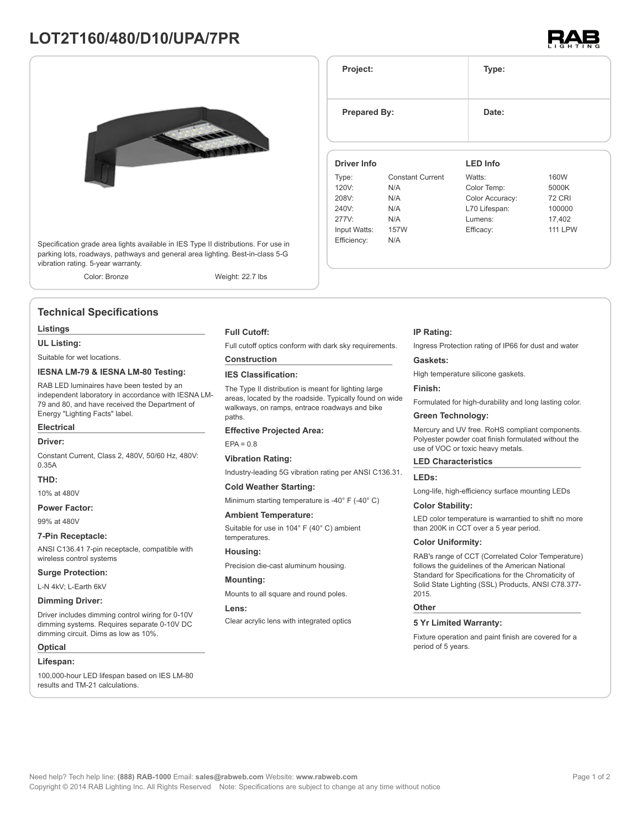# **LOT2T160/480/D10/UPA/7PR**



Specification grade area lights available in IES Type II distributions. For use in parking lots, roadways, pathways and general area lighting. Best-in-class 5-G vibration rating. 5-year warranty.

Color: Bronze Weight: 22.7 lbs

# **Technical Specifications**

#### **Listings**

**UL Listing:**

Suitable for wet locations.

### **IESNA LM-79 & IESNA LM-80 Testing:**

RAB LED luminaires have been tested by an independent laboratory in accordance with IESNA LM-79 and 80, and have received the Department of Energy "Lighting Facts" label.

# **Electrical**

**Driver:**

Constant Current, Class 2, 480V, 50/60 Hz, 480V: 0.35A

# **THD:**

10% at 480V

#### **Power Factor:**

99% at 480V

#### **7-Pin Receptacle:**

ANSI C136.41 7-pin receptacle, compatible with wireless control systems

#### **Surge Protection:**

L-N 4kV; L-Earth 6kV

#### **Dimming Driver:**

Driver includes dimming control wiring for 0-10V dimming systems. Requires separate 0-10V DC dimming circuit. Dims as low as 10%.

#### **Optical**

#### **Lifespan:**

100,000-hour LED lifespan based on IES LM-80 results and TM-21 calculations.

#### **Full Cutoff:**

Full cutoff optics conform with dark sky requirements.

# **Construction**

**IES Classification:**

The Type II distribution is meant for lighting large areas, located by the roadside. Typically found on wide walkways, on ramps, entrace roadways and bike paths

#### **Effective Projected Area:**

 $FPA = 0.8$ 

#### **Vibration Rating:**

Industry-leading 5G vibration rating per ANSI C136.31.

#### **Cold Weather Starting:**

Minimum starting temperature is -40° F (-40° C)

#### **Ambient Temperature:**

Suitable for use in 104° F (40° C) ambient temperatures.

**Housing:**

Precision die-cast aluminum housing.

#### **Mounting:**

Mounts to all square and round poles.

#### **Lens:**

Clear acrylic lens with integrated optics

#### **IP Rating:**

Ingress Protection rating of IP66 for dust and water

#### **Gaskets:**

High temperature silicone gaskets.

#### **Finish:**

Formulated for high-durability and long lasting color.

# **Green Technology:**

Mercury and UV free. RoHS compliant components. Polyester powder coat finish formulated without the use of VOC or toxic heavy metals.

#### **LED Characteristics**

#### **LEDs:**

Long-life, high-efficiency surface mounting LEDs

#### **Color Stability:**

LED color temperature is warrantied to shift no more than 200K in CCT over a 5 year period.

#### **Color Uniformity:**

RAB's range of CCT (Correlated Color Temperature) follows the guidelines of the American National Standard for Specifications for the Chromaticity of Solid State Lighting (SSL) Products, ANSI C78.377- 2015.

#### **Other**

#### **5 Yr Limited Warranty:**

Fixture operation and paint finish are covered for a period of 5 years.

**Prepared By:** Date:

**LED Info**

**Project: Type:**

#### **Driver Info**

| <b>Driver Info</b> |                         | LED Info        |                |
|--------------------|-------------------------|-----------------|----------------|
| Type:              | <b>Constant Current</b> | Watts:          | 160W           |
| 120V:              | N/A                     | Color Temp:     | 5000K          |
| 208V:              | N/A                     | Color Accuracy: | <b>72 CRI</b>  |
| 240V:              | N/A                     | L70 Lifespan:   | 100000         |
| 277V:              | N/A                     | Lumens:         | 17.402         |
| Input Watts:       | 157W                    | Efficacy:       | <b>111 LPW</b> |
| Efficiency:        | N/A                     |                 |                |